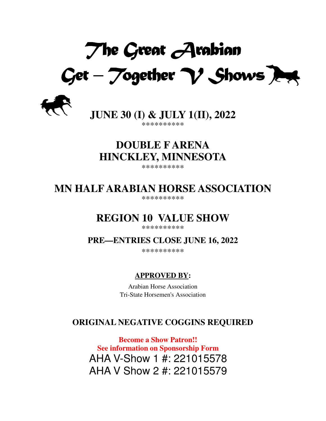*The Great Arabian* Get – Together  $\gamma$  Shows *Z* 



**JUNE 30 (I) & JULY 1(II), 2022**  \*\*\*\*\*\*\*\*\*\*

# **DOUBLE F ARENA HINCKLEY, MINNESOTA**

\*\*\*\*\*\*\*\*\*\*

# **MN HALF ARABIAN HORSE ASSOCIATION**

\*\*\*\*\*\*\*\*\*\*

# **REGION 10 VALUE SHOW**

\*\*\*\*\*\*\*\*\*\*

**PRE—ENTRIES CLOSE JUNE 16, 2022** 

\*\*\*\*\*\*\*\*\*\*

# **APPROVED BY:**

Arabian Horse Association Tri-State Horsemen's Association

# **ORIGINAL NEGATIVE COGGINS REQUIRED**

**Become a Show Patron!! See information on Sponsorship Form**  AHA V-Show 1 #: 221015578 AHA V Show 2 #: 221015579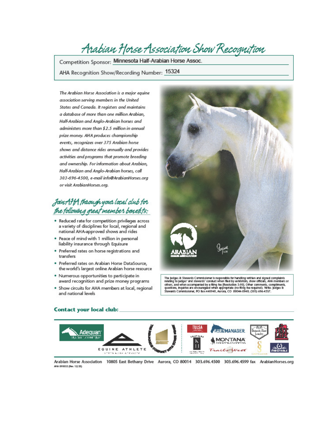# Arabian Horse Association Show Recognition

Competition Sponsor: Minnesota Half-Arabian Horse Assoc.

AHA Recognition Show/Recording Number: 15324

The Arabian Horse Association is a major equine association serving members in the United States and Canada. It registers and maintains a database of more than one million Arabian, Half-Arabian and Analo-Arabian horses and administers more than \$2.5 million in annual prize money. AHA produces championship events, recognizes over 375 Arabian horse shows and distance rides annually and provides activities and programs that promote breeding and ownership. For information about Arabian, Half-Arabian and Anglo-Arabian horses, call 303-696-4500, e-mail info@ArabianHorses.org or visit ArabianHorses.org.

# Join AHA through your local club for the following great member benefits:

- . Reduced rate for competition privileges across a variety of disciplines for local, regional and national AHA-approved shows and rides
- . Peace of mind with 1 million in personal liability insurance through Equisure
- · Preferred rates on horse registrations and transfers
- · Preferred rates on Arabian Horse DataSource, the world's largest online Arabian horse resource
- . Numerous opportunities to participate in award recognition and prize money programs
- . Show circuits for AHA members at local, regional and national levels



The judges & Stawards Commissioner is responsible for handling written and signed complaints<br>relating to judges' and stawards' conduct when filed by exhibitions, show officials, AHA members or<br>others, and when accompanied Stawards Commissioner, PO Box 440949, Aurora, CO 80044-0949, (303) 696-4537.



Contact your local club:

Arablan Horse Association 10805 East Bethany Drive Aurora, CO 80014 303.696.4500 303.696.4599 fax Arablan Horses.org AHA 090032 (Rev. 12/20)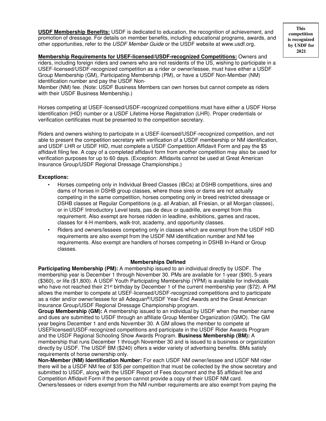**USDF Membership Benefits:** USDF is dedicated to education, the recognition of achievement, and promotion of dressage. For details on member benefits, including educational programs, awards, and other opportunities, refer to the USDF Member Guide or the USDF website at www.usdf.org.

**Membership Requirements for USEF-licensed/USDF-recognized Competitions:** Owners and riders, including foreign riders and owners who are not residents of the US, wishing to participate in a USEF-licensed/USDF-recognized competition as a rider or owner/lessee, must have either a USDF Group Membership (GM), Participating Membership (PM), or have a USDF Non-Member (NM) identification number and pay the USDF Non-

Member (NM) fee. (Note: USDF Business Members can own horses but cannot compete as riders with their USDF Business Membership.)

Horses competing at USEF-licensed/USDF-recognized competitions must have either a USDF Horse Identification (HID) number or a USDF Lifetime Horse Registration (LHR). Proper credentials or verification certificates must be presented to the competition secretary.

Riders and owners wishing to participate in a USEF-licensed/USDF-recognized competition, and not able to present the competition secretary with verification of a USDF membership or NM identification, and USDF LHR or USDF HID, must complete a USDF Competition Affidavit Form and pay the \$5 affidavit filing fee. A copy of a completed affidavit form from another competition may also be used for verification purposes for up to 60 days. (Exception: Affidavits cannot be used at Great American Insurance Group/USDF Regional Dressage Championships.)

#### **Exceptions:**

- Horses competing only in Individual Breed Classes (IBCs) at DSHB competitions, sires and dams of horses in DSHB group classes, where those sires or dams are not actually competing in the same competition, horses competing only in breed restricted dressage or DSHB classes at Regular Competitions (e.g. all Arabian, all Friesian, or all Morgan classes), or in USDF Introductory Level tests, pas de deux or quadrille, are exempt from this requirement. Also exempt are horses ridden in leadline, exhibitions, games and races, classes for 4-H members, walk-trot, academy, and opportunity classes.
- Riders and owners/lessees competing only in classes which are exempt from the USDF HID requirements are also exempt from the USDF NM identification number and NM fee requirements. Also exempt are handlers of horses competing in DSHB In-Hand or Group classes.

#### **Memberships Defined**

**Participating Membership (PM):** A membership issued to an individual directly by USDF. The membership year is December 1 through November 30. PMs are available for 1-year (\$90), 5-years (\$360), or life (\$1,800). A USDF Youth Participating Membership (YPM) is available for individuals who have not reached their 21<sup>st</sup> birthday by December 1 of the current membership year (\$72). A PM allows the member to compete at USEF-licensed/USDF-recognized competitions and to participate as a rider and/or owner/lessee for all Adequan®/USDF Year-End Awards and the Great American Insurance Group/USDF Regional Dressage Championship program.

**Group Membership (GM):** A membership issued to an individual by USDF when the member name and dues are submitted to USDF through an affiliate Group Member Organization (GMO). The GM year begins December 1 and ends November 30. A GM allows the member to compete at USEFlicensed/USDF-recognized competitions and participate in the USDF Rider Awards Program and the USDF Regional Schooling Show Awards Program. **Business Membership (BM):** A membership that runs December 1 through November 30 and is issued to a business or organization directly by USDF. The USDF BM (\$240) offers a wider variety of advertising benefits. BMs satisfy requirements of horse ownership only.

**Non-Member (NM) Identification Number:** For each USDF NM owner/lessee and USDF NM rider there will be a USDF NM fee of \$35 per competition that must be collected by the show secretary and submitted to USDF, along with the USDF Report of Fees document and the \$5 affidavit fee and Competition Affidavit Form if the person cannot provide a copy of their USDF NM card. Owners/lessees or riders exempt from the NM number requirements are also exempt from paying the

**This competition is recognized by USDF for 2021**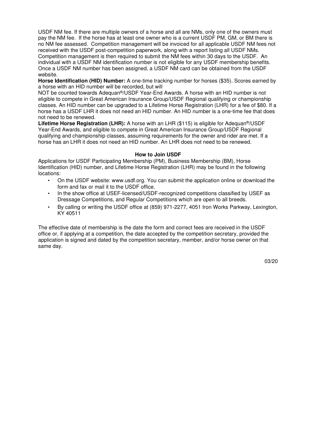USDF NM fee. If there are multiple owners of a horse and all are NMs, only one of the owners must pay the NM fee. If the horse has at least one owner who is a current USDF PM, GM, or BM there is no NM fee assessed. Competition management will be invoiced for all applicable USDF NM fees not received with the USDF post-competition paperwork, along with a report listing all USDF NMs. Competition management is then required to submit the NM fees within 30 days to the USDF. An individual with a USDF NM identification number is not eligible for any USDF membership benefits. Once a USDF NM number has been assigned, a USDF NM card can be obtained from the USDF website.

**Horse Identification (HID) Number:** A one-time tracking number for horses (\$35). Scores earned by a horse with an HID number will be recorded, but will

NOT be counted towards Adequan®/USDF Year-End Awards. A horse with an HID number is not eligible to compete in Great American Insurance Group/USDF Regional qualifying or championship classes. An HID number can be upgraded to a Lifetime Horse Registration (LHR) for a fee of \$80. If a horse has a USDF LHR it does not need an HID number. An HID number is a one-time fee that does not need to be renewed.

**Lifetime Horse Registration (LHR):** A horse with an LHR (\$115) is eligible for Adequan®/USDF Year-End Awards, and eligible to compete in Great American Insurance Group/USDF Regional qualifying and championship classes, assuming requirements for the owner and rider are met. If a horse has an LHR it does not need an HID number. An LHR does not need to be renewed.

#### **How to Join USDF**

Applications for USDF Participating Membership (PM), Business Membership (BM), Horse Identification (HID) number, and Lifetime Horse Registration (LHR) may be found in the following locations:

- On the USDF website: www.usdf.org. You can submit the application online or download the form and fax or mail it to the USDF office.
- In the show office at USEF-licensed/USDF-recognized competitions classified by USEF as Dressage Competitions, and Regular Competitions which are open to all breeds.
- By calling or writing the USDF office at (859) 971-2277, 4051 Iron Works Parkway, Lexington, KY 40511

The effective date of membership is the date the form and correct fees are received in the USDF office or, if applying at a competition, the date accepted by the competition secretary, provided the application is signed and dated by the competition secretary, member, and/or horse owner on that same day.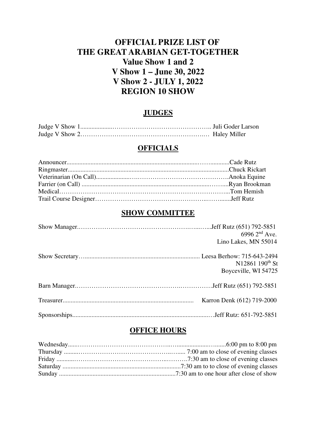# **OFFICIAL PRIZE LIST OF THE GREAT ARABIAN GET-TOGETHER Value Show 1 and 2 V Show 1 – June 30, 2022 V Show 2 - JULY 1, 2022 REGION 10 SHOW**

## **JUDGES**

#### **OFFICIALS**

## **SHOW COMMITTEE**

| 6996 $2^{nd}$ Ave.<br>Lino Lakes, MN 55014          |
|-----------------------------------------------------|
| N12861 190 <sup>th</sup> St<br>Boyceville, WI 54725 |
|                                                     |
| Karron Denk (612) 719-2000                          |
|                                                     |

# **OFFICE HOURS**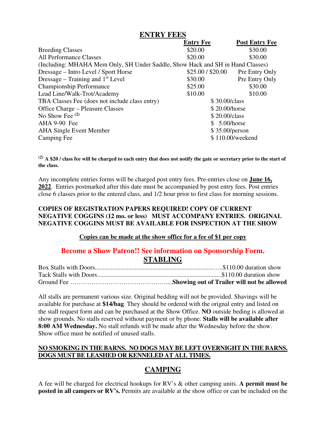#### **ENTRY FEES**

|                                                                                | <b>Entry Fee</b>  | <b>Post Entry Fee</b> |
|--------------------------------------------------------------------------------|-------------------|-----------------------|
| <b>Breeding Classes</b>                                                        | \$20.00           | \$30.00               |
| <b>All Performance Classes</b>                                                 | \$20.00           | \$30.00               |
| (Including: MHAHA Mem Only, SH Under Saddle, Show Hack and SH in Hand Classes) |                   |                       |
| Dressage – Intro Level / Sport Horse                                           | \$25.00 / \$20.00 | Pre Entry Only        |
| Dressage – Training and $1st$ Level                                            | \$30.00           | Pre Entry Only        |
| <b>Championship Performance</b>                                                | \$25.00           | \$30.00               |
| Lead Line/Walk-Trot/Academy                                                    | \$10.00           | \$10.00               |
| TBA Classes Fee (does not include class entry)                                 | \$30.00/class     |                       |
| \$20.00/horse<br><b>Office Charge – Pleasure Classes</b>                       |                   |                       |
| No Show Fee $(2)$<br>\$20.00/class                                             |                   |                       |
| AHA 9-90 Fee                                                                   | \$ 5.00/horse     |                       |
| <b>AHA Single Event Member</b><br>\$35.00/person                               |                   |                       |
| Camping Fee                                                                    |                   | \$110.00/weekend      |

**(2) A \$20 / class fee will be charged to each entry that does not notify the gate or secretary prior to the start of the class.** 

Any incomplete entries forms will be charged post entry fees. Pre-entries close on **June 16, 2022**. Entries postmarked after this date must be accompanied by post entry fees. Post entries close 6 classes prior to the entered class, and 1/2 hour prior to first class for morning sessions.

#### **COPIES OF REGISTRATION PAPERS REQUIRED! COPY OF CURRENT NEGATIVE COGGINS (12 mo. or less) MUST ACCOMPANY ENTRIES. ORIGINAL NEGATIVE COGGINS MUST BE AVAILABLE FOR INSPECTION AT THE SHOW**

#### **Copies can be made at the show office for a fee of \$1 per copy**

## **Become a Show Patron!! See information on Sponsorship Form. STABLING**

All stalls are permanent various size. Original bedding will not be provided. Shavings will be available for purchase at **\$14/bag**. They should be ordered with the orignal entry and listed on the stall request form and can be purchased at the Show Office. **NO** outside beding is allowed at show grounds. No stalls reserved without payment or by phone. **Stalls will be available after 8:00 AM Wednesday.** No stall refunds will be made after the Wednesday before the show. Show office must be notified of unused stalls.

#### **NO SMOKING IN THE BARNS. NO DOGS MAY BE LEFT OVERNIGHT IN THE BARNS. DOGS MUST BE LEASHED OR KENNELED AT ALL TIMES.**

# **CAMPING**

A fee will be charged for electrical hookups for RV's & other camping units. **A permit must be posted in all campers or RV's.** Permits are available at the show office or can be included on the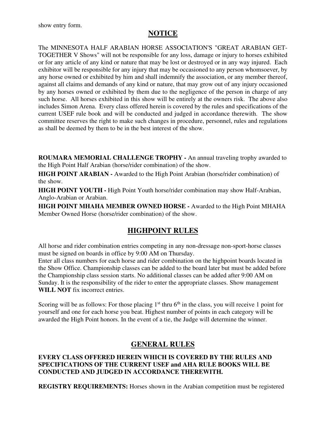# **NOTICE**

The MINNESOTA HALF ARABIAN HORSE ASSOCIATION'S "GREAT ARABIAN GET-TOGETHER V Shows" will not be responsible for any loss, damage or injury to horses exhibited or for any article of any kind or nature that may be lost or destroyed or in any way injured. Each exhibitor will be responsible for any injury that may be occasioned to any person whomsoever, by any horse owned or exhibited by him and shall indemnify the association, or any member thereof, against all claims and demands of any kind or nature, that may grow out of any injury occasioned by any horses owned or exhibited by them due to the negligence of the person in charge of any such horse. All horses exhibited in this show will be entirely at the owners risk. The above also includes Simon Arena. Every class offered herein is covered by the rules and specifications of the current USEF rule book and will be conducted and judged in accordance therewith. The show committee reserves the right to make such changes in procedure, personnel, rules and regulations as shall be deemed by them to be in the best interest of the show.

**ROUMARA MEMORIAL CHALLENGE TROPHY -** An annual traveling trophy awarded to the High Point Half Arabian (horse/rider combination) of the show.

**HIGH POINT ARABIAN -** Awarded to the High Point Arabian (horse/rider combination) of the show.

**HIGH POINT YOUTH -** High Point Youth horse/rider combination may show Half-Arabian, Anglo-Arabian or Arabian.

**HIGH POINT MHAHA MEMBER OWNED HORSE -** Awarded to the High Point MHAHA Member Owned Horse (horse/rider combination) of the show.

# **HIGHPOINT RULES**

All horse and rider combination entries competing in any non-dressage non-sport-horse classes must be signed on boards in office by 9:00 AM on Thursday.

Enter all class numbers for each horse and rider combination on the highpoint boards located in the Show Office. Championship classes can be added to the board later but must be added before the Championship class session starts. No additional classes can be added after 9:00 AM on Sunday. It is the responsibility of the rider to enter the appropriate classes. Show management **WILL NOT** fix incorrect entries.

Scoring will be as follows: For those placing  $1<sup>st</sup>$  thru  $6<sup>th</sup>$  in the class, you will receive 1 point for yourself and one for each horse you beat. Highest number of points in each category will be awarded the High Point honors. In the event of a tie, the Judge will determine the winner.

# **GENERAL RULES**

#### **EVERY CLASS OFFERED HEREIN WHICH IS COVERED BY THE RULES AND SPECIFICATIONS OF THE CURRENT USEF and AHA RULE BOOKS WILL BE CONDUCTED AND JUDGED IN ACCORDANCE THEREWITH.**

**REGISTRY REQUIREMENTS:** Horses shown in the Arabian competition must be registered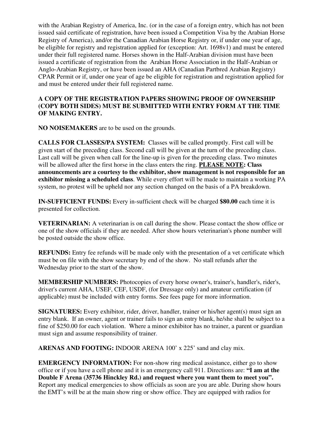with the Arabian Registry of America, Inc. (or in the case of a foreign entry, which has not been issued said certificate of registration, have been issued a Competition Visa by the Arabian Horse Registry of America), and/or the Canadian Arabian Horse Registry or, if under one year of age, be eligible for registry and registration applied for (exception: Art. 1698v1) and must be entered under their full registered name. Horses shown in the Half-Arabian division must have been issued a certificate of registration from the Arabian Horse Association in the Half-Arabian or Anglo-Arabian Registry, or have been issued an AHA (Canadian Partbred Arabian Registry) CPAR Permit or if, under one year of age be eligible for registration and registration applied for and must be entered under their full registered name.

#### **A COPY OF THE REGISTRATION PAPERS SHOWING PROOF OF OWNERSHIP (COPY BOTH SIDES) MUST BE SUBMITTED WITH ENTRY FORM AT THE TIME OF MAKING ENTRY.**

**NO NOISEMAKERS** are to be used on the grounds.

**CALLS FOR CLASSES/PA SYSTEM:** Classes will be called promptly. First call will be given start of the preceding class. Second call will be given at the turn of the preceding class. Last call will be given when call for the line-up is given for the preceding class. Two minutes will be allowed after the first horse in the class enters the ring. **PLEASE NOTE: Class announcements are a courtesy to the exhibitor, show management is not responsible for an exhibitor missing a scheduled class**. While every effort will be made to maintain a working PA system, no protest will be upheld nor any section changed on the basis of a PA breakdown.

**IN-SUFFICIENT FUNDS:** Every in-sufficient check will be charged **\$80.00** each time it is presented for collection.

**VETERINARIAN:** A veterinarian is on call during the show. Please contact the show office or one of the show officials if they are needed. After show hours veterinarian's phone number will be posted outside the show office.

**REFUNDS:** Entry fee refunds will be made only with the presentation of a vet certificate which must be on file with the show secretary by end of the show. No stall refunds after the Wednesday prior to the start of the show.

**MEMBERSHIP NUMBERS:** Photocopies of every horse owner's, trainer's, handler's, rider's, driver's current AHA, USEF, CEF, USDF, (for Dressage only) and amateur certification (if applicable) must be included with entry forms. See fees page for more information.

**SIGNATURES:** Every exhibitor, rider, driver, handler, trainer or his/her agent(s) must sign an entry blank. If an owner, agent or trainer fails to sign an entry blank, he/she shall be subject to a fine of \$250.00 for each violation. Where a minor exhibitor has no trainer, a parent or guardian must sign and assume responsibility of trainer.

**ARENAS AND FOOTING:** INDOOR ARENA 100' x 225' sand and clay mix.

**EMERGENCY INFORMATION:** For non-show ring medical assistance, either go to show office or if you have a cell phone and it is an emergency call 911. Directions are: **"I am at the Double F Arena (35736 Hinckley Rd.) and request where you want them to meet you".** Report any medical emergencies to show officials as soon are you are able. During show hours the EMT's will be at the main show ring or show office. They are equipped with radios for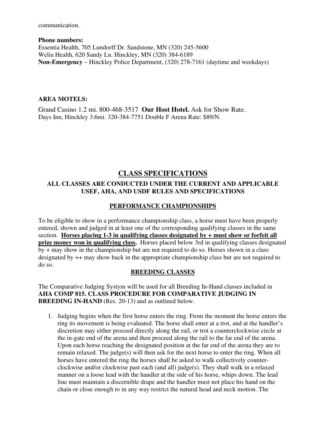communication.

**Phone numbers:**  Essentia Health, 705 Lundorff Dr. Sandstone, MN (320) 245-5600 Welia Health, 620 Sandy Ln. Hinckley, MN (320) 384-6189 **Non-Emergency** – Hinckley Police Department, (320) 278-7161 (daytime and weekdays)

#### **AREA MOTELS:**

Grand Casino 1.2 mi. 800-468-3517 **Our Host Hotel.** Ask for Show Rate. Days Inn, Hinckley 3.6mi. 320-384-7751 Double F Arena Rate: \$89/N.

# **CLASS SPECIFICATIONS**

#### **ALL CLASSES ARE CONDUCTED UNDER THE CURRENT AND APPLICABLE USEF, AHA, AND USDF RULES AND SPECIFICATIONS**

### **PERFORMANCE CHAMPIONSHIPS**

To be eligible to show in a performance championship class, a horse must have been properly entered, shown and judged in at least one of the corresponding qualifying classes in the same section. **Horses placing 1-3 in qualifying classes designated by + must show or forfeit all prize money won in qualifying class.** Horses placed below 3rd in qualifying classes designated  $\overline{by + }$  may show in the championship but are not required to do so. Horses shown in a class designated by ++ may show back in the appropriate championship class but are not required to do so.

#### **BREEDING CLASSES**

The Comparative Judging Systym will be used for all Breeding In-Hand classes included in **AHA COMP 815. CLASS PROCEDURE FOR COMPARATIVE JUDGING IN BREEDING IN-HAND** (Res. 20-13) and as outlined below.

1. Judging begins when the first horse enters the ring. From the moment the horse enters the ring its movement is being evaluated. The horse shall enter at a trot, and at the handler's discretion may either proceed directly along the rail, or trot a counterclockwise circle at the in-gate end of the arena and then proceed along the rail to the far end of the arena. Upon each horse reaching the designated position at the far end of the arena they are to remain relaxed. The judge(s) will then ask for the next horse to enter the ring. When all horses have entered the ring the horses shall be asked to walk collectively counterclockwise and/or clockwise past each (and all) judge(s). They shall walk in a relaxed manner on a loose lead with the handler at the side of his horse, whips down. The lead line must maintain a discernible drape and the handler must not place his hand on the chain or close enough to in any way restrict the natural head and neck motion. The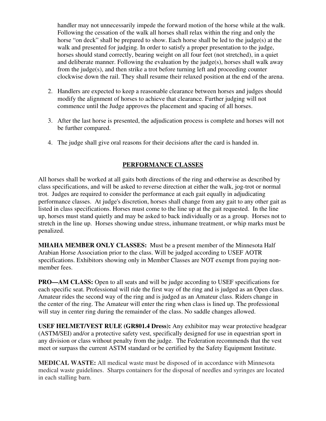handler may not unnecessarily impede the forward motion of the horse while at the walk. Following the cessation of the walk all horses shall relax within the ring and only the horse "on deck" shall be prepared to show. Each horse shall be led to the judge(s) at the walk and presented for judging. In order to satisfy a proper presentation to the judge, horses should stand correctly, bearing weight on all four feet (not stretched), in a quiet and deliberate manner. Following the evaluation by the judge(s), horses shall walk away from the judge(s), and then strike a trot before turning left and proceeding counter clockwise down the rail. They shall resume their relaxed position at the end of the arena.

- 2. Handlers are expected to keep a reasonable clearance between horses and judges should modify the alignment of horses to achieve that clearance. Further judging will not commence until the Judge approves the placement and spacing of all horses.
- 3. After the last horse is presented, the adjudication process is complete and horses will not be further compared.
- 4. The judge shall give oral reasons for their decisions after the card is handed in.

### **PERFORMANCE CLASSES**

All horses shall be worked at all gaits both directions of the ring and otherwise as described by class specifications, and will be asked to reverse direction at either the walk, jog-trot or normal trot. Judges are required to consider the performance at each gait equally in adjudicating performance classes. At judge's discretion, horses shall change from any gait to any other gait as listed in class specifications. Horses must come to the line up at the gait requested. In the line up, horses must stand quietly and may be asked to back individually or as a group. Horses not to stretch in the line up. Horses showing undue stress, inhumane treatment, or whip marks must be penalized.

**MHAHA MEMBER ONLY CLASSES:** Must be a present member of the Minnesota Half Arabian Horse Association prior to the class. Will be judged according to USEF AOTR specifications. Exhibitors showing only in Member Classes are NOT exempt from paying nonmember fees.

**PRO—AM CLASS:** Open to all seats and will be judge according to USEF specifications for each specific seat. Professional will ride the first way of the ring and is judged as an Open class. Amateur rides the second way of the ring and is judged as an Amateur class. Riders change in the center of the ring. The Amateur will enter the ring when class is lined up. The professional will stay in center ring during the remainder of the class. No saddle changes allowed.

**USEF HELMET/VEST RULE (GR801.4 Dress):** Any exhibitor may wear protective headgear (ASTM/SEI) and/or a protective safety vest, specifically designed for use in equestrian sport in any division or class without penalty from the judge. The Federation recommends that the vest meet or surpass the current ASTM standard or be certified by the Safety Equipment Institute.

**MEDICAL WASTE:** All medical waste must be disposed of in accordance with Minnesota medical waste guidelines. Sharps containers for the disposal of needles and syringes are located in each stalling barn.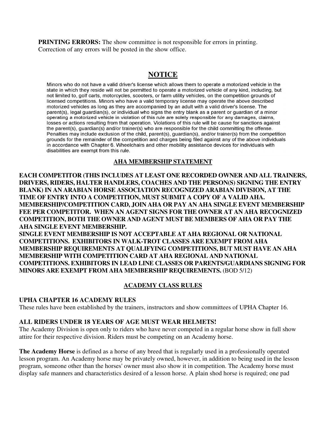**PRINTING ERRORS:** The show committee is not responsible for errors in printing. Correction of any errors will be posted in the show office.

## **NOTICE**

Minors who do not have a valid driver's license which allows them to operate a motorized vehicle in the state in which they reside will not be permitted to operate a motorized vehicle of any kind, including, but not limited to, golf carts, motorcycles, scooters, or farm utility vehicles, on the competition grounds of licensed competitions. Minors who have a valid temporary license may operate the above described motorized vehicles as long as they are accompanied by an adult with a valid driver's license. The parent(s), legal guardian(s), or individual who signs the entry blank as a parent or guardian of a minor operating a motorized vehicle in violation of this rule are solely responsible for any damages, claims, losses or actions resulting from that operation. Violations of this rule will be cause for sanctions against the parent(s), guardian(s) and/or trainer(s) who are responsible for the child committing the offense. Penalties may include exclusion of the child, parent(s), guardian(s), and/or trainer(s) from the competition grounds for the remainder of the competition and charges being filed against any of the above individuals in accordance with Chapter 6. Wheelchairs and other mobility assistance devices for individuals with disabilities are exempt from this rule.

#### **AHA MEMBERSHIP STATEMENT**

**EACH COMPETITOR (THIS INCLUDES AT LEAST ONE RECORDED OWNER AND ALL TRAINERS, DRIVERS, RIDERS, HALTER HANDLERS, COACHES AND THE PERSON(S) SIGNING THE ENTRY BLANK) IN AN ARABIAN HORSE ASSOCIATION RECOGNIZED ARABIAN DIVISION, AT THE TIME OF ENTRY INTO A COMPETITION, MUST SUBMIT A COPY OF A VALID AHA. MEMBERSHIP/COMPETITION CARD, JOIN AHA OR PAY AN AHA SINGLE EVENT MEMBERSHIP FEE PER COMPETITOR. WHEN AN AGENT SIGNS FOR THE OWNER AT AN AHA RECOGNIZED COMPETITION, BOTH THE OWNER AND AGENT MUST BE MEMBERS OF AHA OR PAY THE AHA SINGLE EVENT MEMBERSHIP.** 

**SINGLE EVENT MEMBERSHIP IS NOT ACCEPTABLE AT AHA REGIONAL OR NATIONAL COMPETITIONS. EXHIBITORS IN WALK-TROT CLASSES ARE EXEMPT FROM AHA MEMBERSHIP REQUIREMENTS AT QUALIFYING COMPETITIONS, BUT MUST HAVE AN AHA MEMBERSHIP WITH COMPETITION CARD AT AHA REGIONAL AND NATIONAL COMPETITIONS. EXHIBITORS IN LEAD LINE CLASSES OR PARENTS/GUARDIANS SIGNING FOR MINORS ARE EXEMPT FROM AHA MEMBERSHIP REQUIREMENTS.** (BOD 5/12)

#### **ACADEMY CLASS RULES**

#### **UPHA CHAPTER 16 ACADEMY RULES**

These rules have been established by the trainers, instructors and show committees of UPHA Chapter 16.

#### **ALL RIDERS UNDER 18 YEARS OF AGE MUST WEAR HELMETS!**

The Academy Division is open only to riders who have never competed in a regular horse show in full show attire for their respective division. Riders must be competing on an Academy horse.

**The Academy Horse** is defined as a horse of any breed that is regularly used in a professionally operated lesson program. An Academy horse may be privately owned, however, in addition to being used in the lesson program, someone other than the horses' owner must also show it in competition. The Academy horse must display safe manners and characteristics desired of a lesson horse. A plain shod horse is required; one pad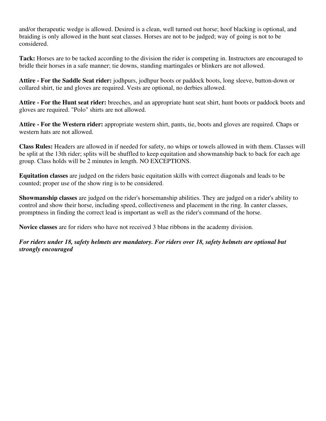and/or therapeutic wedge is allowed. Desired is a clean, well turned out horse; hoof blacking is optional, and braiding is only allowed in the hunt seat classes. Horses are not to be judged; way of going is not to be considered.

**Tack:** Horses are to be tacked according to the division the rider is competing in. Instructors are encouraged to bridle their horses in a safe manner; tie downs, standing martingales or blinkers are not allowed.

**Attire - For the Saddle Seat rider:** jodhpurs, jodhpur boots or paddock boots, long sleeve, button-down or collared shirt, tie and gloves are required. Vests are optional, no derbies allowed.

**Attire - For the Hunt seat rider:** breeches, and an appropriate hunt seat shirt, hunt boots or paddock boots and gloves are required. "Polo" shirts are not allowed.

**Attire - For the Western rider:** appropriate western shirt, pants, tie, boots and gloves are required. Chaps or western hats are not allowed.

**Class Rules:** Headers are allowed in if needed for safety, no whips or towels allowed in with them. Classes will be split at the 13th rider; splits will be shuffled to keep equitation and showmanship back to back for each age group. Class holds will be 2 minutes in length. NO EXCEPTIONS.

**Equitation classes** are judged on the riders basic equitation skills with correct diagonals and leads to be counted; proper use of the show ring is to be considered.

**Showmanship classes** are judged on the rider's horsemanship abilities. They are judged on a rider's ability to control and show their horse, including speed, collectiveness and placement in the ring. In canter classes, promptness in finding the correct lead is important as well as the rider's command of the horse.

**Novice classes** are for riders who have not received 3 blue ribbons in the academy division.

*For riders under 18, safety helmets are mandatory. For riders over 18, safety helmets are optional but strongly encouraged*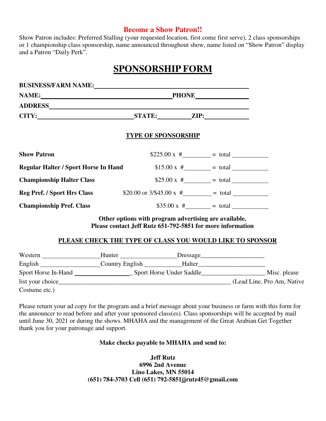#### **Become a Show Patron!!**

Show Patron includes: Preferred Stalling (your requested location, first come first serve), 2 class sponsorships or 1 championship class sponsorship, name announced throughout show, name listed on "Show Patron" display and a Patron "Daily Perk".

# **SPONSORSHIP FORM**

| NAME: PHONE                                                               |                            |                                                                                                                                                                                                                                                                                |
|---------------------------------------------------------------------------|----------------------------|--------------------------------------------------------------------------------------------------------------------------------------------------------------------------------------------------------------------------------------------------------------------------------|
|                                                                           |                            |                                                                                                                                                                                                                                                                                |
| CITY: STATE: ZIP:                                                         |                            |                                                                                                                                                                                                                                                                                |
|                                                                           | <b>TYPE OF SPONSORSHIP</b> |                                                                                                                                                                                                                                                                                |
| <b>Show Patron</b>                                                        |                            | $$225.00 \text{ x } # = total$                                                                                                                                                                                                                                                 |
| <b>Regular Halter / Sport Horse In Hand</b> $$15.00 \text{ x } #$ = total |                            |                                                                                                                                                                                                                                                                                |
| <b>Championship Halter Class</b>                                          |                            | \$25.00 x # $=$ total                                                                                                                                                                                                                                                          |
| <b>Reg Pref. / Sport Hrs Class</b>                                        |                            | \$20.00 or $3/\$45.00 \text{ x } #$ = total =                                                                                                                                                                                                                                  |
| <b>Championship Pref. Class</b>                                           |                            | \$35.00 x # = total                                                                                                                                                                                                                                                            |
|                                                                           |                            | $\sim$ 0.0 $\sim$ 0.0 $\sim$ 0.0 $\sim$ 0.0 $\sim$ 0.0 $\sim$ 0.0 $\sim$ 0.0 $\sim$ 0.0 $\sim$ 0.0 $\sim$ 0.0 $\sim$ 0.0 $\sim$ 0.0 $\sim$ 0.0 $\sim$ 0.0 $\sim$ 0.0 $\sim$ 0.0 $\sim$ 0.0 $\sim$ 0.0 $\sim$ 0.0 $\sim$ 0.0 $\sim$ 0.0 $\sim$ 0.0 $\sim$ 0.0 $\sim$ 0.0 $\sim$ |

**Other options with program advertising are available. Please contact Jeff Rutz 651-792-5851 for more information** 

#### **PLEASE CHECK THE TYPE OF CLASS YOU WOULD LIKE TO SPONSOR**

| Western             | Hunter          | Dressage                 |                            |
|---------------------|-----------------|--------------------------|----------------------------|
| English             | Country English | Halter                   |                            |
| Sport Horse In-Hand |                 | Sport Horse Under Saddle | Misc. please               |
| list your choice    |                 |                          | (Lead Line, Pro Am, Native |
| Costume etc.)       |                 |                          |                            |

Please return your ad copy for the program and a brief message about your business or farm with this form for the announcer to read before and after your sponsored class(es). Class sponsorships will be accepted by mail until June 30, 2021 or during the shows. MHAHA and the management of the Great Arabian Get Together thank you for your patronage and support.

#### **Make checks payable to MHAHA and send to:**

**Jeff Rutz 6996 2nd Avenue Lino Lakes, MN 55014 (651) 784-3703 Cell (651) 792-5851jjrutz45@gmail.com**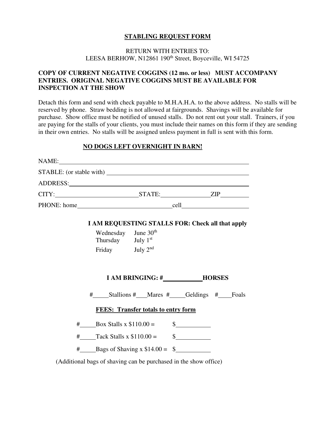#### **STABLING REQUEST FORM**

#### RETURN WITH ENTRIES TO: LEESA BERHOW, N12861 190<sup>th</sup> Street, Boyceville, WI 54725

#### **COPY OF CURRENT NEGATIVE COGGINS (12 mo. or less) MUST ACCOMPANY ENTRIES. ORIGINAL NEGATIVE COGGINS MUST BE AVAILABLE FOR INSPECTION AT THE SHOW**

Detach this form and send with check payable to M.H.A.H.A. to the above address. No stalls will be reserved by phone. Straw bedding is not allowed at fairgrounds. Shavings will be available for purchase. Show office must be notified of unused stalls. Do not rent out your stall. Trainers, if you are paying for the stalls of your clients, you must include their names on this form if they are sending in their own entries. No stalls will be assigned unless payment in full is sent with this form.

#### **NO DOGS LEFT OVERNIGHT IN BARN!**

| NAME: |                                                                  |                                            |                                                                                                                                                                                                                                                                                                                                                                              |  |
|-------|------------------------------------------------------------------|--------------------------------------------|------------------------------------------------------------------------------------------------------------------------------------------------------------------------------------------------------------------------------------------------------------------------------------------------------------------------------------------------------------------------------|--|
|       |                                                                  |                                            |                                                                                                                                                                                                                                                                                                                                                                              |  |
|       |                                                                  |                                            |                                                                                                                                                                                                                                                                                                                                                                              |  |
|       |                                                                  |                                            |                                                                                                                                                                                                                                                                                                                                                                              |  |
|       |                                                                  |                                            |                                                                                                                                                                                                                                                                                                                                                                              |  |
|       | I AM REQUESTING STALLS FOR: Check all that apply                 |                                            |                                                                                                                                                                                                                                                                                                                                                                              |  |
|       | Wednesday June 30 <sup>th</sup>                                  |                                            |                                                                                                                                                                                                                                                                                                                                                                              |  |
|       | Thursday July 1st                                                |                                            |                                                                                                                                                                                                                                                                                                                                                                              |  |
|       | Friday July $2nd$                                                |                                            |                                                                                                                                                                                                                                                                                                                                                                              |  |
|       |                                                                  | I AM BRINGING: #_____________HORSES        |                                                                                                                                                                                                                                                                                                                                                                              |  |
|       |                                                                  |                                            |                                                                                                                                                                                                                                                                                                                                                                              |  |
|       |                                                                  | <b>FEES:</b> Transfer totals to entry form |                                                                                                                                                                                                                                                                                                                                                                              |  |
|       | $\#$ Box Stalls x \$110.00 =                                     |                                            | $\frac{\S_{\frac{1}{2}}}{\S_{\frac{1}{2}}}{\S_{\frac{1}{2}}}{\S_{\frac{1}{2}}}{\S_{\frac{1}{2}}}{\S_{\frac{1}{2}}}{\S_{\frac{1}{2}}}{\S_{\frac{1}{2}}}{\S_{\frac{1}{2}}}{\S_{\frac{1}{2}}}{\S_{\frac{1}{2}}}{\S_{\frac{1}{2}}}{\S_{\frac{1}{2}}}{\S_{\frac{1}{2}}}{\S_{\frac{1}{2}}}{\S_{\frac{1}{2}}}{\S_{\frac{1}{2}}}{\S_{\frac{1}{2}}}{\S_{\frac{1}{2}}}{\S_{\frac{1}{2$ |  |
|       | $\#$ Tack Stalls x \$110.00 = \$                                 |                                            |                                                                                                                                                                                                                                                                                                                                                                              |  |
|       | $\frac{\text{#}}{\text{4}}$ Bags of Shaving x \$14.00 = \$       |                                            |                                                                                                                                                                                                                                                                                                                                                                              |  |
|       | (Additional bags of shaving can be purchased in the show office) |                                            |                                                                                                                                                                                                                                                                                                                                                                              |  |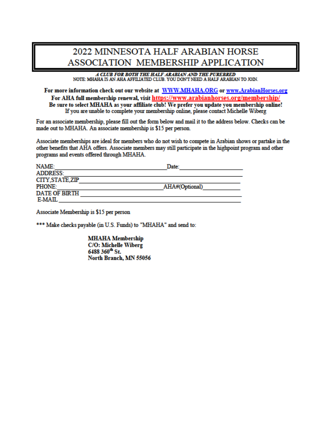# 2022 MINNESOTA HALF ARABIAN HORSE ASSOCIATION MEMBERSHIP APPLICATION

A CLUB FOR BOTH THE HALF ARABIAN AND THE PUREBRED NOTE: MHAHA IS AN AHA AFFILIATED CLUB. YOU DON'T NEED A HALF ARABIAN TO JOIN.

For more information check out our website at WWW.MHAHA.ORG or www.ArabianHorses.org For AHA full membership renewal, visit https://www.arabianhorses.org/membership/ Be sure to select MHAHA as your affiliate club! We prefer you update you membership online! If you are unable to complete your membership online, please contact Michelle Wiberg

For an associate membership, please fill out the form below and mail it to the address below. Checks can be made out to MHAHA. An associate membership is \$15 per person.

Associate memberships are ideal for members who do not wish to compete in Arabian shows or partake in the other benefits that AHA offers. Associate members may still participate in the highpoint program and other programs and events offered through MHAHA.

| NAME:                | Date:          |
|----------------------|----------------|
| <b>ADDRESS:</b>      |                |
| CITY STATE ZIP       |                |
| <b>PHONE:</b>        | AHA#(Optional) |
| <b>DATE OF BIRTH</b> |                |
| E-MAIL               |                |

Associate Membership is \$15 per person

\*\*\* Make checks payable (in U.S. Funds) to "MHAHA" and send to:

**MHAHA Membership** C/O: Michelle Wiberg 6488 360<sup>th</sup> St. North Branch, MN 55056